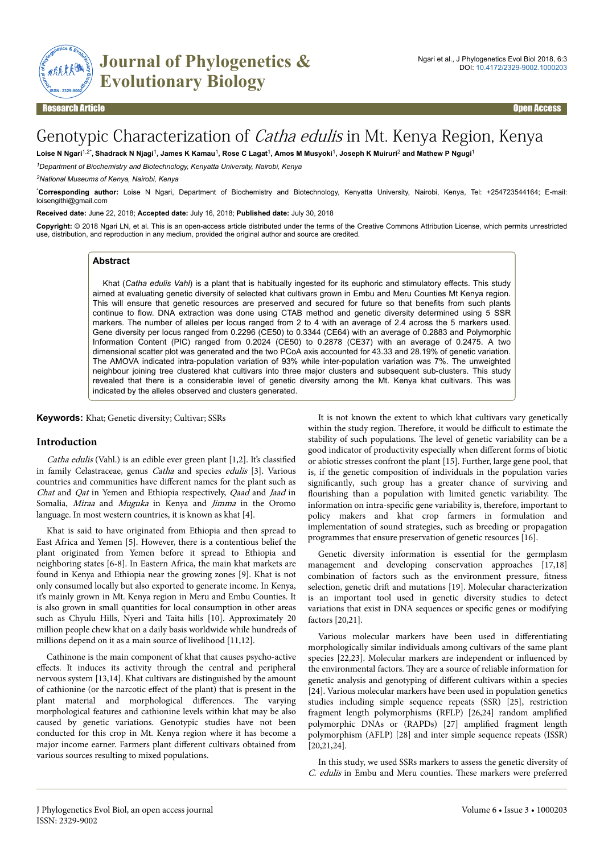

# Genotypic Characterization of Catha edulis in Mt. Kenya Region, Kenya

Loise N Ngari<sup>1,2\*</sup>, Shadrack N Njagi<sup>1</sup>, James K Kamau<sup>1</sup>, Rose C Lagat<sup>1</sup>, Amos M Musyoki<sup>1</sup>, Joseph K Muiruri<sup>2</sup> and Mathew P Ngugi<sup>1</sup>

*<sup>1</sup>Department of Biochemistry and Biotechnology, Kenyatta University, Nairobi, Kenya*

*<sup>2</sup>National Museums of Kenya, Nairobi, Kenya*

\***Corresponding author:** Loise N Ngari, Department of Biochemistry and Biotechnology, Kenyatta University, Nairobi, Kenya, Tel: +254723544164; E-mail: loisengithi@gmail.com

**Received date:** June 22, 2018; **Accepted date:** July 16, 2018; **Published date:** July 30, 2018

**Copyright:** © 2018 Ngari LN, et al. This is an open-access article distributed under the terms of the Creative Commons Attribution License, which permits unrestricted use, distribution, and reproduction in any medium, provided the original author and source are credited.

# **Abstract**

Khat (*Catha edulis Vahl*) is a plant that is habitually ingested for its euphoric and stimulatory effects. This study aimed at evaluating genetic diversity of selected khat cultivars grown in Embu and Meru Counties Mt Kenya region. This will ensure that genetic resources are preserved and secured for future so that benefits from such plants continue to flow. DNA extraction was done using CTAB method and genetic diversity determined using 5 SSR markers. The number of alleles per locus ranged from 2 to 4 with an average of 2.4 across the 5 markers used. Gene diversity per locus ranged from 0.2296 (CE50) to 0.3344 (CE64) with an average of 0.2883 and Polymorphic Information Content (PIC) ranged from 0.2024 (CE50) to 0.2878 (CE37) with an average of 0.2475. A two dimensional scatter plot was generated and the two PCoA axis accounted for 43.33 and 28.19% of genetic variation. The AMOVA indicated intra-population variation of 93% while inter-population variation was 7%. The unweighted neighbour joining tree clustered khat cultivars into three major clusters and subsequent sub-clusters. This study revealed that there is a considerable level of genetic diversity among the Mt. Kenya khat cultivars. This was indicated by the alleles observed and clusters generated.

**Keywords:** Khat; Genetic diversity; Cultivar; SSRs

### **Introduction**

Catha edulis (Vahl.) is an edible ever green plant [1,2]. It's classified in family Celastraceae, genus Catha and species edulis [3]. Various countries and communities have different names for the plant such as Chat and Qat in Yemen and Ethiopia respectively, Qaad and Jaad in Somalia, Miraa and Muguka in Kenya and Jimma in the Oromo language. In most western countries, it is known as khat [4].

Khat is said to have originated from Ethiopia and then spread to East Africa and Yemen [5]. However, there is a contentious belief the plant originated from Yemen before it spread to Ethiopia and neighboring states [6-8]. In Eastern Africa, the main khat markets are found in Kenya and Ethiopia near the growing zones [9]. Khat is not only consumed locally but also exported to generate income. In Kenya, it's mainly grown in Mt. Kenya region in Meru and Embu Counties. It is also grown in small quantities for local consumption in other areas such as Chyulu Hills, Nyeri and Taita hills [10]. Approximately 20 million people chew khat on a daily basis worldwide while hundreds of millions depend on it as a main source of livelihood [11,12].

Cathinone is the main component of khat that causes psycho-active effects. It induces its activity through the central and peripheral nervous system [13,14]. Khat cultivars are distinguished by the amount of cathionine (or the narcotic effect of the plant) that is present in the plant material and morphological differences. The varying morphological features and cathionine levels within khat may be also caused by genetic variations. Genotypic studies have not been conducted for this crop in Mt. Kenya region where it has become a major income earner. Farmers plant different cultivars obtained from various sources resulting to mixed populations.

It is not known the extent to which khat cultivars vary genetically within the study region. Therefore, it would be difficult to estimate the stability of such populations. Нe level of genetic variability can be a good indicator of productivity especially when different forms of biotic or abiotic stresses confront the plant [15]. Further, large gene pool, that is, if the genetic composition of individuals in the population varies significantly, such group has a greater chance of surviving and flourishing than a population with limited genetic variability. Нe information on intra-specific gene variability is, therefore, important to policy makers and khat crop farmers in formulation and implementation of sound strategies, such as breeding or propagation programmes that ensure preservation of genetic resources [16].

Genetic diversity information is essential for the germplasm management and developing conservation approaches [17,18] combination of factors such as the environment pressure, fitness selection, genetic drift and mutations [19]. Molecular characterization is an important tool used in genetic diversity studies to detect variations that exist in DNA sequences or specific genes or modifying factors [20,21].

Various molecular markers have been used in differentiating morphologically similar individuals among cultivars of the same plant species [22,23]. Molecular markers are independent or influenced by the environmental factors. They are a source of reliable information for genetic analysis and genotyping of different cultivars within a species [24]. Various molecular markers have been used in population genetics studies including simple sequence repeats (SSR) [25], restriction fragment length polymorphisms (RFLP) [26,24] random amplified polymorphic DNAs or (RAPDs) [27] amplified fragment length polymorphism (AFLP) [28] and inter simple sequence repeats (ISSR) [20,21,24].

In this study, we used SSRs markers to assess the genetic diversity of C. edulis in Embu and Meru counties. Нese markers were preferred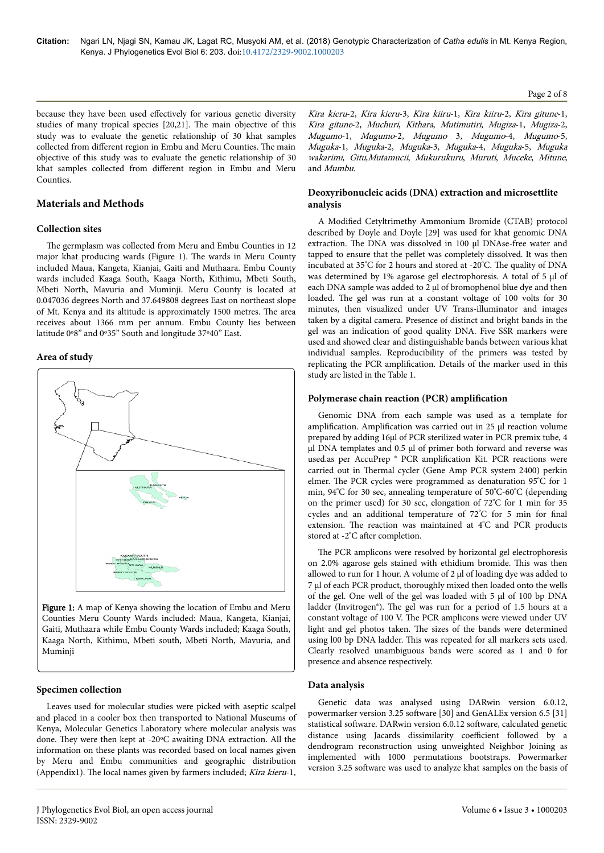#### Page 2 of 8

because they have been used effectively for various genetic diversity studies of many tropical species [20,21]. Нe main objective of this study was to evaluate the genetic relationship of 30 khat samples collected from different region in Embu and Meru Counties. The main objective of this study was to evaluate the genetic relationship of 30 khat samples collected from different region in Embu and Meru Counties.

# **Materials and Methods**

### **Collection sites**

The germplasm was collected from Meru and Embu Counties in 12 major khat producing wards (Figure 1). Нe wards in Meru County included Maua, Kangeta, Kianjai, Gaiti and Muthaara. Embu County wards included Kaaga South, Kaaga North, Kithimu, Mbeti South, Mbeti North, Mavuria and Muminji. Meru County is located at 0.047036 degrees North and 37.649808 degrees East on northeast slope of Mt. Kenya and its altitude is approximately 1500 metres. Нe area receives about 1366 mm per annum. Embu County lies between latitude 0º8" and 0º35" South and longitude 37º40" East.

### **Area of study**



Figure 1: A map of Kenya showing the location of Embu and Meru Counties Meru County Wards included: Maua, Kangeta, Kianjai, Gaiti, Muthaara while Embu County Wards included; Kaaga South, Kaaga North, Kithimu, Mbeti south, Mbeti North, Mavuria, and Muminji

### **Specimen collection**

Leaves used for molecular studies were picked with aseptic scalpel and placed in a cooler box then transported to National Museums of Kenya, Molecular Genetics Laboratory where molecular analysis was done. They were then kept at -20°C awaiting DNA extraction. All the information on these plants was recorded based on local names given by Meru and Embu communities and geographic distribution (Appendix1). Нe local names given by farmers included; Kira kieru-1,

Kira kieru-2, Kira kieru-3, Kira kiiru-1, Kira kiiru-2, Kira gitune-1, Kira gitune-2, Muchuri, Kithara, Mutimutiri, Mugiza-1, Mugiza-2, Mugumo-1, Mugumo-2, Mugumo 3, Mugumo-4, Mugumo-5, Muguka-1, Muguka-2, Muguka-3, Muguka-4, Muguka-5, Muguka wakarimi, Gitu,Mutamucii, Mukurukuru, Muruti, Muceke, Mitune, and Mumbu.

# **Deoxyribonucleic acids (DNA) extraction and microsettlite analysis**

A Modified Cetyltrimethy Ammonium Bromide (CTAB) protocol described by Doyle and Doyle [29] was used for khat genomic DNA extraction. Нe DNA was dissolved in 100 μl DNAse-free water and tapped to ensure that the pellet was completely dissolved. It was then incubated at 35ºC for 2 hours and stored at -20ºC. Нe quality of DNA was determined by 1% agarose gel electrophoresis. A total of 5 μl of each DNA sample was added to 2 μl of bromophenol blue dye and then loaded. The gel was run at a constant voltage of 100 volts for 30 minutes, then visualized under UV Trans-illuminator and images taken by a digital camera. Presence of distinct and bright bands in the gel was an indication of good quality DNA. Five SSR markers were used and showed clear and distinguishable bands between various khat individual samples. Reproducibility of the primers was tested by replicating the PCR amplification. Details of the marker used in this study are listed in the Table 1.

### **Polymerase chain reaction (PCR) amplification**

Genomic DNA from each sample was used as a template for amplification. Amplification was carried out in 25 µl reaction volume prepared by adding 16µl of PCR sterilized water in PCR premix tube, 4 µl DNA templates and 0.5 µl of primer both forward and reverse was used.as per AccuPrep ® PCR amplification Kit. PCR reactions were carried out in Нermal cycler (Gene Amp PCR system 2400) perkin elmer. Нe PCR cycles were programmed as denaturation 95ºC for 1 min, 94ºC for 30 sec, annealing temperature of 50ºC-60ºC (depending on the primer used) for 30 sec, elongation of 72ºC for 1 min for 35 cycles and an additional temperature of 72ºC for 5 min for final extension. Нe reaction was maintained at 4ºC and PCR products stored at -2°C after completion.

The PCR amplicons were resolved by horizontal gel electrophoresis on 2.0% agarose gels stained with ethidium bromide. Нis was then allowed to run for 1 hour. A volume of 2 µl of loading dye was added to 7 µl of each PCR product, thoroughly mixed then loaded onto the wells of the gel. One well of the gel was loaded with 5 μl of 100 bp DNA ladder (Invitrogen®). Нe gel was run for a period of 1.5 hours at a constant voltage of 100 V. Нe PCR amplicons were viewed under UV light and gel photos taken. Нe sizes of the bands were determined using l00 bp DNA ladder. Нis was repeated for all markers sets used. Clearly resolved unambiguous bands were scored as 1 and 0 for presence and absence respectively.

# **Data analysis**

Genetic data was analysed using DARwin version 6.0.12, powermarker version 3.25 software [30] and GenALEx version 6.5 [31] statistical software. DARwin version 6.0.12 software, calculated genetic distance using Jacards dissimilarity coefficient followed by a dendrogram reconstruction using unweighted Neighbor Joining as implemented with 1000 permutations bootstraps. Powermarker version 3.25 software was used to analyze khat samples on the basis of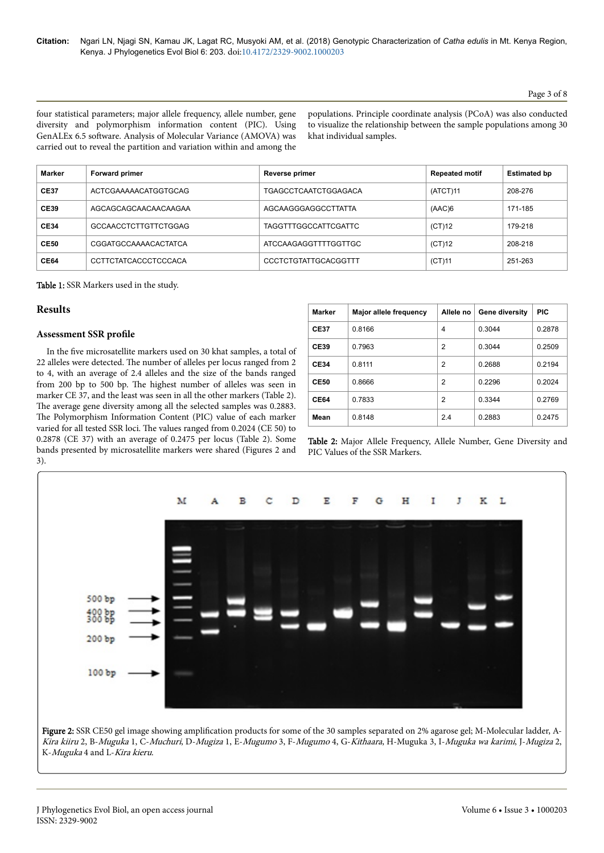### Page 3 of 8

four statistical parameters; major allele frequency, allele number, gene diversity and polymorphism information content (PIC). Using GenALEx 6.5 software. Analysis of Molecular Variance (AMOVA) was carried out to reveal the partition and variation within and among the populations. Principle coordinate analysis (PCoA) was also conducted to visualize the relationship between the sample populations among 30 khat individual samples.

| Marker      | <b>Forward primer</b>       | Reverse primer              | <b>Repeated motif</b> | <b>Estimated bp</b> |  |  |  |  |
|-------------|-----------------------------|-----------------------------|-----------------------|---------------------|--|--|--|--|
| <b>CE37</b> | ACTCGAAAAACATGGTGCAG        | <b>TGAGCCTCAATCTGGAGACA</b> | (ATCT)11              | 208-276             |  |  |  |  |
| <b>CE39</b> | AGCAGCAGCAACAACAAGAA        | AGCAAGGGAGGCCTTATTA         | (AAC)6                | 171-185             |  |  |  |  |
| <b>CE34</b> | GCCAACCTCTTGTTCTGGAG        | <b>TAGGTTTGGCCATTCGATTC</b> | (CT)12                | 179-218             |  |  |  |  |
| <b>CE50</b> | CGGATGCCAAAACACTATCA        | ATCCAAGAGGTTTTGGTTGC        | (CT)12                | 208-218             |  |  |  |  |
| <b>CE64</b> | <b>CCTTCTATCACCCTCCCACA</b> | CCCTCTGTATTGCACGGTTT        | (CT)11                | 251-263             |  |  |  |  |

Table 1: SSR Markers used in the study.

# **Results**

# **Assessment SSR profile**

In the five microsatellite markers used on 30 khat samples, a total of 22 alleles were detected. Нe number of alleles per locus ranged from 2 to 4, with an average of 2.4 alleles and the size of the bands ranged from 200 bp to 500 bp. Нe highest number of alleles was seen in marker CE 37, and the least was seen in all the other markers (Table 2). The average gene diversity among all the selected samples was 0.2883. The Polymorphism Information Content (PIC) value of each marker varied for all tested SSR loci. Нe values ranged from 0.2024 (CE 50) to 0.2878 (CE 37) with an average of 0.2475 per locus (Table 2). Some bands presented by microsatellite markers were shared (Figures 2 and 3).

| <b>Marker</b> | <b>Major allele frequency</b> | Allele no | Gene diversity | <b>PIC</b> |
|---------------|-------------------------------|-----------|----------------|------------|
| <b>CE37</b>   | 0.8166                        | 4         | 0.3044         | 0.2878     |
| <b>CE39</b>   | 0.7963                        | 2         | 0.3044         | 0.2509     |
| <b>CE34</b>   | 0.8111                        | 2         | 0.2688         | 0.2194     |
| <b>CE50</b>   | 0.8666                        | 2         | 0.2296         | 0.2024     |
| <b>CE64</b>   | 0.7833                        | 2         | 0.3344         | 0.2769     |
| Mean          | 0.8148                        | 2.4       | 0.2883         | 0.2475     |

Table 2: Major Allele Frequency, Allele Number, Gene Diversity and PIC Values of the SSR Markers.



Figure 2: SSR CE50 gel image showing amplification products for some of the 30 samples separated on 2% agarose gel; M-Molecular ladder, A-Kira kiiru 2, B-Muguka 1, C-Muchuri, D-Mugiza 1, E-Mugumo 3, F-Mugumo 4, G-Kithaara, H-Muguka 3, I-Muguka wa karimi, J-Mugiza 2, K-Muguka 4 and L-Kira kieru.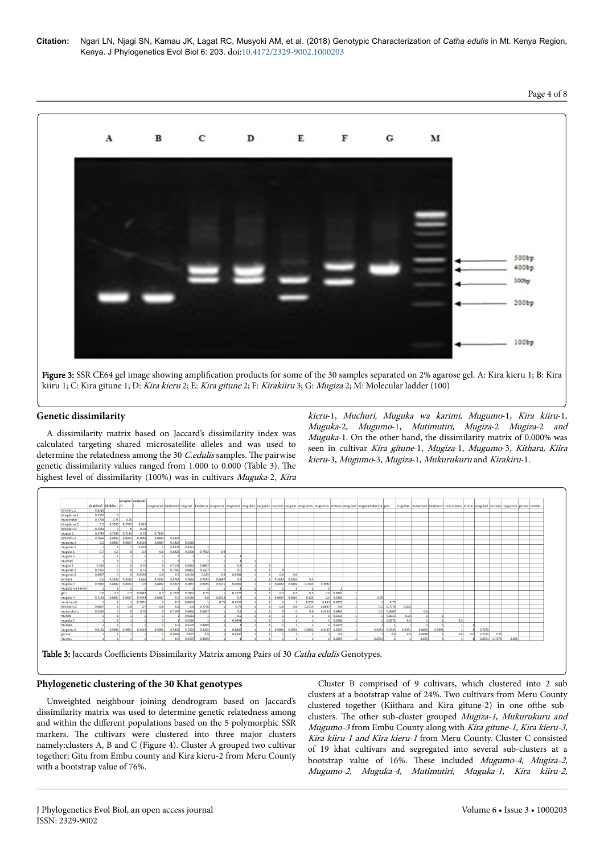**Citation:** Ngari LN, Njagi SN, Kamau JK, Lagat RC, Musyoki AM, et al. (2018) Genotypic Characterization of *Catha edulis* in Mt. Kenya Region, Kenya. J Phylogenetics Evol Biol 6: 203. doi:10.4172/2329-9002.1000203



Figure 3: SSR CE64 gel image showing amplification products for some of the 30 samples separated on 2% agarose gel. A: Kira kieru 1; B: Kira kiiru 1; C: Kira gitune 1; D: Kira kieru 2; E: Kira gitune 2; F: Kirakiiru 3; G: Mugiza 2; M: Molecular ladder (100)

# **Genetic dissimilarity**

A dissimilarity matrix based on Jaccard's dissimilarity index was calculated targeting shared microsatellite alleles and was used to determine the relatedness among the 30 *C.edulis* samples. The pairwise genetic dissimilarity values ranged from 1.000 to 0.000 (Table 3). Нe highest level of dissimilarity (100%) was in cultivars Muguka-2, Kira

kieru-1, Muchuri, Muguka wa karimi, Mugumo-1, Kira kiiru-1, Muguka-2, Mugumo-1, Mutimutiri, Mugiza-2 Mugiza-2 and Muguka-1. On the other hand, the dissimilarity matrix of 0.000% was seen in cultivar Kira gitune-1, Mugiza-1, Mugumo-3, Kithara, Kiira kieru-3, Mugumo-3, Mugiza-1, Mukurukuru and Kirakiru-1.

|                  | kirakieru1 kirakiiru1 e1 |        | kiragitun mutimutir |        |              |        |        |        |        |        |  |        |        |        |        |               | kiragitune2 kirakieru3 mugiza2 kirakiiru2 mugumo2 mugumo1 muguka1 muguka2 muchuri mugiza1 mugumo3 mugumo4 kiithara muguka3 mugukawakarimi lgitu |                 |        |        |        | muguka4 mutamucii ikirakieru2 mukurukuru muruti muguka5 muceke mugumo5 igitune mombo |     |        |        |       |  |
|------------------|--------------------------|--------|---------------------|--------|--------------|--------|--------|--------|--------|--------|--|--------|--------|--------|--------|---------------|-------------------------------------------------------------------------------------------------------------------------------------------------|-----------------|--------|--------|--------|--------------------------------------------------------------------------------------|-----|--------|--------|-------|--|
| kira kiiru 1     | 0.3333                   |        |                     |        |              |        |        |        |        |        |  |        |        |        |        |               |                                                                                                                                                 |                 |        |        |        |                                                                                      |     |        |        |       |  |
| kira gitune 1    | 0.3333                   |        |                     |        |              |        |        |        |        |        |  |        |        |        |        |               |                                                                                                                                                 |                 |        |        |        |                                                                                      |     |        |        |       |  |
| muti mutiri      | 0.7778                   | 0.75   | 0.75                |        |              |        |        |        |        |        |  |        |        |        |        |               |                                                                                                                                                 |                 |        |        |        |                                                                                      |     |        |        |       |  |
| kira gitune 2    | 0.5                      | 0.3333 | 0.3333              | 0.625  |              |        |        |        |        |        |  |        |        |        |        |               |                                                                                                                                                 |                 |        |        |        |                                                                                      |     |        |        |       |  |
| kira kieru 3     | 0.3333                   |        |                     | 0.75   |              |        |        |        |        |        |  |        |        |        |        |               |                                                                                                                                                 |                 |        |        |        |                                                                                      |     |        |        |       |  |
| mugiza 2         | 0.5714                   | 0.7143 | 0.7143              | 0.75   | 0.7143       |        |        |        |        |        |  |        |        |        |        |               |                                                                                                                                                 |                 |        |        |        |                                                                                      |     |        |        |       |  |
| kira kiiru 2     | 0.7692                   | 0.8462 | 0.8462              | 0.3846 | 0.8462       | 0.4615 |        |        |        |        |  |        |        |        |        |               |                                                                                                                                                 |                 |        |        |        |                                                                                      |     |        |        |       |  |
| mugumo 2         | 0.5                      | 0.6667 | 0.6667              | 0.8333 | 0.6667       | 0.1429 | 0.5385 |        |        |        |  |        |        |        |        |               |                                                                                                                                                 |                 |        |        |        |                                                                                      |     |        |        |       |  |
| mugumo 1         |                          |        |                     | 0.875  |              | 0.8571 | 0.9231 |        |        |        |  |        |        |        |        |               |                                                                                                                                                 |                 |        |        |        |                                                                                      |     |        |        |       |  |
| muguka 1         | 0.7                      | 0.5    |                     | 0.2    | 0.8          | 0.6923 | 0.2308 | 0.7692 | 0.9    |        |  |        |        |        |        |               |                                                                                                                                                 |                 |        |        |        |                                                                                      |     |        |        |       |  |
| muguka 2         |                          |        |                     |        |              |        |        |        |        |        |  |        |        |        |        |               |                                                                                                                                                 |                 |        |        |        |                                                                                      |     |        |        |       |  |
| muchuri          |                          |        |                     |        |              |        |        |        |        |        |  |        |        |        |        |               |                                                                                                                                                 |                 |        |        |        |                                                                                      |     |        |        |       |  |
| mugiza 1         | 0.333                    |        |                     | 0.75   |              | 0.7143 | 0.8462 | 0.6667 |        | 0.8    |  |        |        |        |        |               |                                                                                                                                                 |                 |        |        |        |                                                                                      |     |        |        |       |  |
| mugumo 3         | 0.3333                   |        |                     | 0.75   |              | 0.7143 | 0.8462 | 0.6667 |        | 0.8    |  |        |        |        |        |               |                                                                                                                                                 |                 |        |        |        |                                                                                      |     |        |        |       |  |
| mugumo 4         | 0.6667                   |        |                     | 0.5556 | $\mathbf{a}$ | 0.5    | 0.6154 | 0.625  | 0.8    | 0.6364 |  | 0.6    | 0.6    |        |        |               |                                                                                                                                                 |                 |        |        |        |                                                                                      |     |        |        |       |  |
| kiithara         | 0.5                      | 0.3333 | 0.3333              | 0.625  | 0.3333       | 0.5714 | 0.7692 | 0.7143 | 0.6667 | 0.7    |  | 0.3333 | 0.3333 | 0.4    |        |               |                                                                                                                                                 |                 |        |        |        |                                                                                      |     |        |        |       |  |
| muguka 3         | 0.7692                   | 0.8462 | 0.8462              | 0.6    | 0.8462       | 0.4615 | 0.2667 | 0.5385 | 0.9231 | 0.4667 |  | 0.8462 | 0.8462 | 0.7143 | 0.7692 |               |                                                                                                                                                 |                 |        |        |        |                                                                                      |     |        |        |       |  |
| muguka wa karimi |                          |        |                     |        |              |        |        |        |        |        |  |        |        |        |        |               |                                                                                                                                                 |                 |        |        |        |                                                                                      |     |        |        |       |  |
| gitu             | 0.6                      | 0.5    | 0.5                 | 0.6667 | 0.5          | 0.7778 | 0.7857 | 0.75   |        | 0.7273 |  | 0.5    | 0.5    | 0.5    |        | $0.6$ 0.8667  |                                                                                                                                                 |                 |        |        |        |                                                                                      |     |        |        |       |  |
| muguka 4         | 0.7143                   | 0.6667 | 0.6667              | 0.4444 | 0.6667       | 0.7    | 0.5385 | 0.8    | 0.8333 | 0.4    |  | 0.6667 | 0.6667 | 0.625  |        | $0.5$ 0.5385  | 0.75                                                                                                                                            |                 |        |        |        |                                                                                      |     |        |        |       |  |
| muta mucii       |                          |        |                     | 0.9091 |              | 0.9    | 0.8667 |        | 0.75   | 0.8333 |  |        |        | 0.875  |        | 0.833 0.7857  |                                                                                                                                                 | 0.75            |        |        |        |                                                                                      |     |        |        |       |  |
| kira kieru 2     | 0.6667                   |        | 0.6                 | 0.7    | 0.6          | 0.8    | 0.81   | 0.7778 |        | 0.75   |  | 0.6    | 0.6    | 0.5714 | 0.6667 | 0.8           |                                                                                                                                                 | $0.2$ 0.7778    | 0.875  |        |        |                                                                                      |     |        |        |       |  |
| mukurukuru       | 0.3333                   |        |                     | 0.75   |              | 0.7143 | 0.8462 | 0.6667 |        | 0.8    |  |        |        | 0.6    |        | 0.3333 0.8462 |                                                                                                                                                 | $0.5$ 0.6667    |        | 0.6    |        |                                                                                      |     |        |        |       |  |
| muruti           |                          |        |                     |        |              |        | 0.9231 |        |        | 0.9    |  |        |        |        |        | 0.9231        |                                                                                                                                                 | 0.8333          | 0.75   |        |        |                                                                                      |     |        |        |       |  |
| muguka 5         |                          |        |                     |        |              |        | 0.9286 |        |        | 0.9091 |  |        |        |        |        | 0.9286        |                                                                                                                                                 | 0.8571          | 0.5    |        |        | 0.5                                                                                  |     |        |        |       |  |
| muceke           |                          |        |                     |        |              | 0.9    | 0.9375 | 0.8889 |        |        |  |        |        |        |        | 0.9375        |                                                                                                                                                 |                 |        |        |        | H.                                                                                   |     |        |        |       |  |
| mugumo 5         | 0.8182                   |        | $0.9091$ $0.9091$   | 0.9412 | 0.9091       | 0.5833 | 0.7222 | 0.5455 |        | 0.8889 |  | 0.9091 | 0.9091 | 0.8462 |        | 0.9167 0.5625 |                                                                                                                                                 | $0.9231$ 0.9333 | 0.9231 | 0.8462 | 0.9091 |                                                                                      |     | 0.7273 |        |       |  |
| gitune           |                          |        |                     |        |              | 0.9091 | 0.875  | 0.9    |        | 0.9286 |  |        |        |        |        | 0.8           |                                                                                                                                                 | 0.9             | 0.5    | 0.8889 |        | 0.8                                                                                  | 0.6 | 0.7143 | 0.75   |       |  |
| mumbu            |                          |        |                     |        |              | 0.9    | 0.9375 | 0.8889 |        |        |  |        |        |        |        | 0.8667        | 0.8571                                                                                                                                          |                 |        | 0.875  |        |                                                                                      |     | 0.8571 | 0.7273 | 0.875 |  |

Table 3: Jaccards Coefficients Dissimilarity Matrix among Pairs of 30 Catha edulis Genotypes.

### **Phylogenetic clustering of the 30 Khat genotypes**

Unweighted neighbour joining dendrogram based on Jaccard's dissimilarity matrix was used to determine genetic relatedness among and within the different populations based on the 5 polymorphic SSR markers. Нe cultivars were clustered into three major clusters namely:clusters A, B and C (Figure 4). Cluster A grouped two cultivar together; Gitu from Embu county and Kira kieru-2 from Meru County with a bootstrap value of 76%.

Cluster B comprised of 9 cultivars, which clustered into 2 sub clusters at a bootstrap value of 24%. Two cultivars from Meru County clustered together (Kiithara and Kira gitune-2) in one ofthe subclusters. The other sub-cluster grouped Mugiza-1, Mukurukuru and Mugumo-3 from Embu County along with Kira gitune-1, Kira kieru-3, Kira kiiru-1 and Kira kieru-1 from Meru County. Cluster C consisted of 19 khat cultivars and segregated into several sub-clusters at a bootstrap value of 16%. These included Mugumo-4, Mugiza-2, Mugumo-2, Muguka-4, Mutimutiri, Muguka-1, Kira kiiru-2,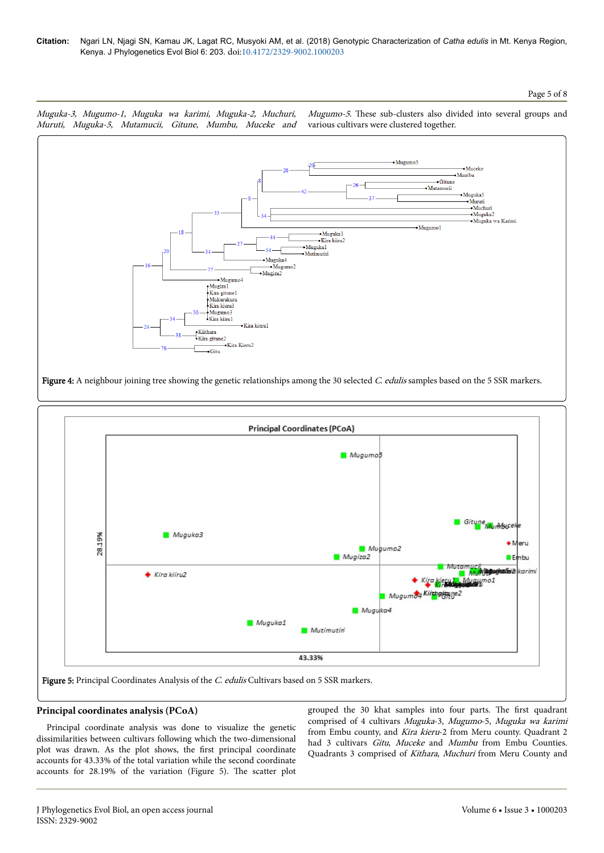



# **Principal coordinates analysis (PCoA)**

Principal coordinate analysis was done to visualize the genetic dissimilarities between cultivars following which the two-dimensional plot was drawn. As the plot shows, the first principal coordinate accounts for 43.33% of the total variation while the second coordinate accounts for 28.19% of the variation (Figure 5). Нe scatter plot

grouped the 30 khat samples into four parts. Нe first quadrant comprised of 4 cultivars Muguka-3, Mugumo-5, Muguka wa karimi from Embu county, and Kira kieru-2 from Meru county. Quadrant 2 had 3 cultivars Gitu, Muceke and Mumbu from Embu Counties. Quadrants 3 comprised of Kithara, Muchuri from Meru County and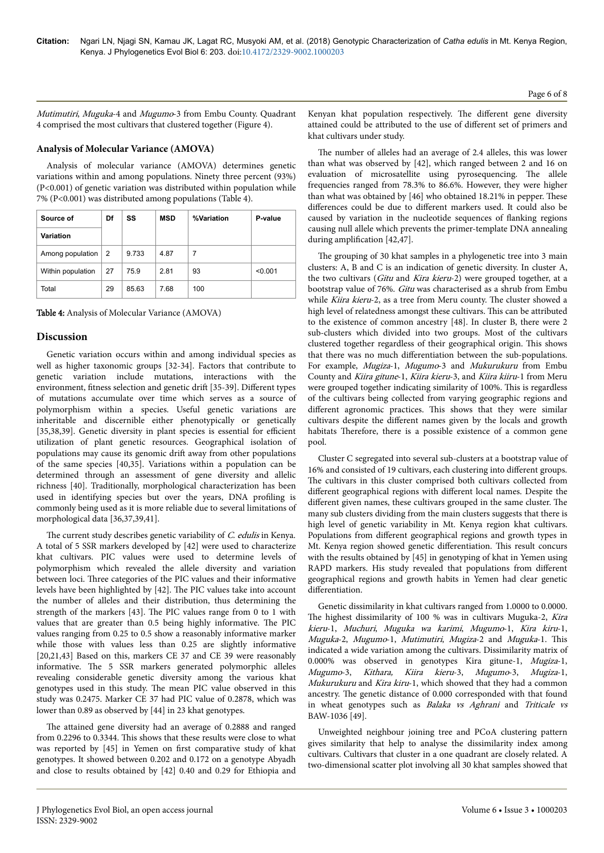Mutimutiri, Muguka-4 and Mugumo-3 from Embu County. Quadrant 4 comprised the most cultivars that clustered together (Figure 4).

### **Analysis of Molecular Variance (AMOVA)**

Analysis of molecular variance (AMOVA) determines genetic variations within and among populations. Ninety three percent (93%) (P<0.001) of genetic variation was distributed within population while 7% (P<0.001) was distributed among populations (Table 4).

| Source of         | Df | SS    | <b>MSD</b> | %Variation | P-value |
|-------------------|----|-------|------------|------------|---------|
| Variation         |    |       |            |            |         |
| Among population  | 2  | 9.733 | 4.87       | 7          |         |
| Within population | 27 | 75.9  | 2.81       | 93         | < 0.001 |
| Total             | 29 | 85.63 | 7.68       | 100        |         |

Table 4: Analysis of Molecular Variance (AMOVA)

### **Discussion**

Genetic variation occurs within and among individual species as well as higher taxonomic groups [32-34]. Factors that contribute to genetic variation include mutations, interactions with the environment, fitness selection and genetic drift [35-39]. Different types of mutations accumulate over time which serves as a source of polymorphism within a species. Useful genetic variations are inheritable and discernible either phenotypically or genetically [35,38,39]. Genetic diversity in plant species is essential for efficient utilization of plant genetic resources. Geographical isolation of populations may cause its genomic drift away from other populations of the same species [40,35]. Variations within a population can be determined through an assessment of gene diversity and allelic richness [40]. Traditionally, morphological characterization has been used in identifying species but over the years, DNA profiling is commonly being used as it is more reliable due to several limitations of morphological data [36,37,39,41].

The current study describes genetic variability of C. edulis in Kenya. A total of 5 SSR markers developed by [42] were used to characterize khat cultivars. PIC values were used to determine levels of polymorphism which revealed the allele diversity and variation between loci. Нree categories of the PIC values and their informative levels have been highlighted by [42]. Нe PIC values take into account the number of alleles and their distribution, thus determining the strength of the markers [43]. Нe PIC values range from 0 to 1 with values that are greater than 0.5 being highly informative. Нe PIC values ranging from 0.25 to 0.5 show a reasonably informative marker while those with values less than 0.25 are slightly informative [20,21,43] Based on this, markers CE 37 and CE 39 were reasonably informative. Нe 5 SSR markers generated polymorphic alleles revealing considerable genetic diversity among the various khat genotypes used in this study. Нe mean PIC value observed in this study was 0.2475. Marker CE 37 had PIC value of 0.2878, which was lower than 0.89 as observed by [44] in 23 khat genotypes.

The attained gene diversity had an average of 0.2888 and ranged from 0.2296 to 0.3344. Нis shows that these results were close to what was reported by [45] in Yemen on first comparative study of khat genotypes. It showed between 0.202 and 0.172 on a genotype Abyadh and close to results obtained by [42] 0.40 and 0.29 for Ethiopia and

Kenyan khat population respectively. The different gene diversity attained could be attributed to the use of different set of primers and khat cultivars under study.

The number of alleles had an average of 2.4 alleles, this was lower than what was observed by [42], which ranged between 2 and 16 on evaluation of microsatellite using pyrosequencing. Нe allele frequencies ranged from 78.3% to 86.6%. However, they were higher than what was obtained by [46] who obtained 18.21% in pepper. Нese differences could be due to different markers used. It could also be caused by variation in the nucleotide sequences of flanking regions causing null allele which prevents the primer-template DNA annealing during amplification [42,47].

The grouping of 30 khat samples in a phylogenetic tree into 3 main clusters: A, B and C is an indication of genetic diversity. In cluster A, the two cultivars (Gitu and Kira kieru-2) were grouped together, at a bootstrap value of 76%. Gitu was characterised as a shrub from Embu while Kiira kieru-2, as a tree from Meru county. The cluster showed a high level of relatedness amongst these cultivars. Нis can be attributed to the existence of common ancestry [48]. In cluster B, there were 2 sub-clusters which divided into two groups. Most of the cultivars clustered together regardless of their geographical origin. Нis shows that there was no much differentiation between the sub-populations. For example, Mugiza-1, Mugumo-3 and Mukurukuru from Embu County and Kiira gitune-1, Kiira kieru-3, and Kiira kiiru-1 from Meru were grouped together indicating similarity of 100%. Нis is regardless of the cultivars being collected from varying geographic regions and different agronomic practices. This shows that they were similar cultivars despite the different names given by the locals and growth habitats Нerefore, there is a possible existence of a common gene pool.

Cluster C segregated into several sub-clusters at a bootstrap value of 16% and consisted of 19 cultivars, each clustering into different groups. The cultivars in this cluster comprised both cultivars collected from different geographical regions with different local names. Despite the different given names, these cultivars grouped in the same cluster. The many sub clusters dividing from the main clusters suggests that there is high level of genetic variability in Mt. Kenya region khat cultivars. Populations from different geographical regions and growth types in Mt. Kenya region showed genetic differentiation. This result concurs with the results obtained by [45] in genotyping of khat in Yemen using RAPD markers. His study revealed that populations from different geographical regions and growth habits in Yemen had clear genetic differentiation.

Genetic dissimilarity in khat cultivars ranged from 1.0000 to 0.0000. The highest dissimilarity of 100 % was in cultivars Muguka-2, Kira kieru-1, Muchuri, Muguka wa karimi, Mugumo-1, Kira kiru-1, Muguka-2, Mugumo-1, Mutimutiri, Mugiza-2 and Muguka-1. Нis indicated a wide variation among the cultivars. Dissimilarity matrix of 0.000% was observed in genotypes Kira gitune-1, Mugiza-1, Mugumo-3, Kithara, Kiira kieru-3, Mugumo-3, Mugiza-1, Mukurukuru and Kira kiru-1, which showed that they had a common ancestry. Нe genetic distance of 0.000 corresponded with that found in wheat genotypes such as Balaka vs Aghrani and Triticale vs BAW-1036 [49].

Unweighted neighbour joining tree and PCoA clustering pattern gives similarity that help to analyse the dissimilarity index among cultivars. Cultivars that cluster in a one quadrant are closely related. A two-dimensional scatter plot involving all 30 khat samples showed that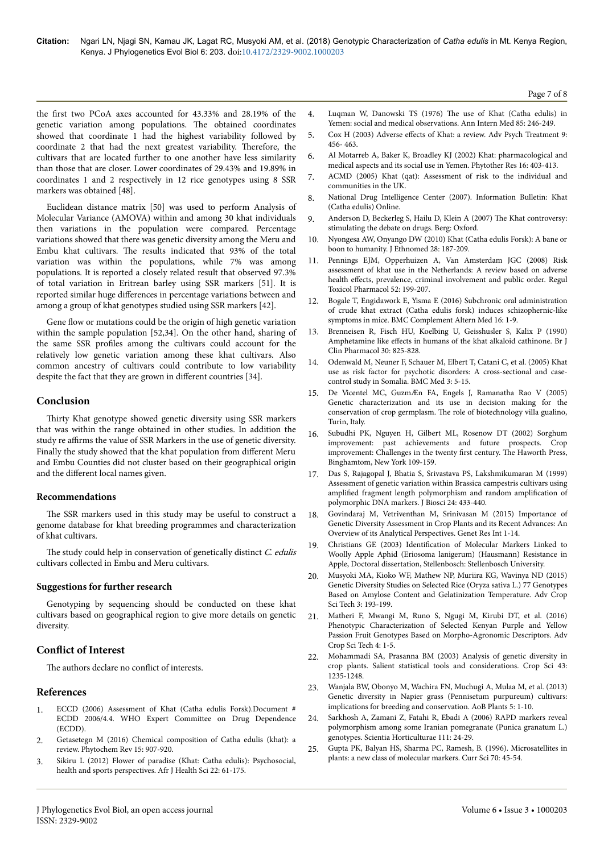the first two PCoA axes accounted for 43.33% and 28.19% of the genetic variation among populations. Нe obtained coordinates showed that coordinate 1 had the highest variability followed by coordinate 2 that had the next greatest variability. Нerefore, the cultivars that are located further to one another have less similarity than those that are closer. Lower coordinates of 29.43% and 19.89% in coordinates 1 and 2 respectively in 12 rice genotypes using 8 SSR markers was obtained [48].

Euclidean distance matrix [50] was used to perform Analysis of Molecular Variance (AMOVA) within and among 30 khat individuals then variations in the population were compared. Percentage variations showed that there was genetic diversity among the Meru and Embu khat cultivars. Нe results indicated that 93% of the total variation was within the populations, while 7% was among populations. It is reported a closely related result that observed 97.3% of total variation in Eritrean barley using SSR markers [51]. It is reported similar huge differences in percentage variations between and among a group of khat genotypes studied using SSR markers [42].

Gene flow or mutations could be the origin of high genetic variation within the sample population [52,34]. On the other hand, sharing of the same SSR profiles among the cultivars could account for the relatively low genetic variation among these khat cultivars. Also common ancestry of cultivars could contribute to low variability despite the fact that they are grown in different countries [34].

# **Conclusion**

Thirty Khat genotype showed genetic diversity using SSR markers that was within the range obtained in other studies. In addition the study re affirms the value of SSR Markers in the use of genetic diversity. Finally the study showed that the khat population from different Meru and Embu Counties did not cluster based on their geographical origin and the different local names given.

### **Recommendations**

The SSR markers used in this study may be useful to construct a genome database for khat breeding programmes and characterization of khat cultivars.

The study could help in conservation of genetically distinct  $C$ . edulis cultivars collected in Embu and Meru cultivars.

#### **Suggestions for further research**

Genotyping by sequencing should be conducted on these khat cultivars based on geographical region to give more details on genetic diversity.

# **Conflict of Interest**

The authors declare no conflict of interests.

### **References**

- ECCD (2006) Assessment of Khat (Catha edulis Forsk).Document # ECDD 2006/4.4. WHO Expert Committee on Drug Dependence (ECDD).
- 2. Getasetegn M (2016) Chemical composition of Catha edulis (khat): a review. Phytochem Rev 15: 907-920.
- 3. Sikiru L (2012) Flower of paradise (Khat: Catha edulis): Psychosocial, health and sports perspectives. Afr J Health Sci 22: 61-175.
- 4. Luqman W, Danowski TS (1976) Нe use of Khat (Catha edulis) in Yemen: social and medical observations. Ann Intern Med 85: 246-249.
- 5. Cox H (2003) Adverse effects [of Khat: a review. Adv Psych Treatment 9:](https://doi.org/10.1192/apt.9.6.456) [456- 463.](https://doi.org/10.1192/apt.9.6.456)
- 6. [Al Motarreb A, Baker K, Broadley KJ \(2002\) Khat: pharmacological and](https://doi.org/10.1002/ptr.1106) [medical aspects and its social use in Yemen. Phytother Res 16: 403-413.](https://doi.org/10.1002/ptr.1106)
- 7. ACMD (2005) Khat (qat): Assessment of risk to the individual and communities in the UK.
- 8. National Drug Intelligence Center (2007). Information Bulletin: Khat (Catha edulis) Online.
- 9. Anderson D, Beckerleg S, Hailu D, Klein A (2007) Нe Khat controversy: stimulating the debate on drugs. Berg: Oxford.
- 10. Nyongesa AW, Onyango DW (2010) Khat (Catha edulis Forsk): A bane or boon to humanity. J Ethnomed 28: 187-209.
- 11. [Pennings EJM, Opperhuizen A, Van Amsterdam JGC \(2008\) Risk](https://doi.org/10.1016/j.yrtph.2008.08.005) [assessment of khat use in the Netherlands: A review based on adverse](https://doi.org/10.1016/j.yrtph.2008.08.005) health effects, [prevalence, criminal involvement and public order. Regul](https://doi.org/10.1016/j.yrtph.2008.08.005) [Toxicol Pharmacol 52: 199-207.](https://doi.org/10.1016/j.yrtph.2008.08.005)
- 12. [Bogale T, Engidawork E, Yisma E \(2016\) Subchronic oral administration](https://dx.doi.org/10.1186%2Fs12906-016-1145-6) [of crude khat extract \(Catha edulis forsk\) induces schizophernic-like](https://dx.doi.org/10.1186%2Fs12906-016-1145-6) [symptoms in mice. BMC Complement Altern Med 16: 1-9.](https://dx.doi.org/10.1186%2Fs12906-016-1145-6)
- 13. Brenneisen R, Fisch HU, Koelbing U, Geisshusler S, Kalix P (1990) Amphetamine like effects in humans of the khat alkaloid cathinone. Br J Clin Pharmacol 30: 825-828.
- 14. Odenwald M, Neuner F, Schauer M, Elbert T, Catani C, et al. (2005) Khat use as risk factor for psychotic disorders: A cross-sectional and casecontrol study in Somalia. BMC Med 3: 5-15.
- 15. De Vicentel MC, GuzmÆn FA, Engels J, Ramanatha Rao V (2005) Genetic characterization and its use in decision making for the conservation of crop germplasm. Нe role of biotechnology villa gualino, Turin, Italy.
- 16. Subudhi PK, Nguyen H, Gilbert ML, Rosenow DT (2002) Sorghum improvement: past achievements and future prospects. improvement: Challenges in the twenty first century. Нe Haworth Press, Binghamtom, New York 109-159.
- 17. Das S, Rajagopal J, Bhatia S, Srivastava PS, Lakshmikumaran M (1999) Assessment of genetic variation within Brassica campestris cultivars using amplified fragment length polymorphism and random amplification of polymorphic DNA markers. J Biosci 24: 433-440.
- 18. [Govindaraj M, Vetriventhan M, Srinivasan M \(2015\) Importance of](http://dx.doi.org/10.1155/2015/431487) [Genetic Diversity Assessment in Crop Plants and its Recent Advances: An](http://dx.doi.org/10.1155/2015/431487) [Overview of its Analytical Perspectives. Genet Res Int 1-14.](http://dx.doi.org/10.1155/2015/431487)
- 19. Christians GE (2003) Identification of Molecular Markers Linked to Woolly Apple Aphid (Eriosoma lanigerum) (Hausmann) Resistance in Apple, Doctoral dissertation, Stellenbosch: Stellenbosch University.
- 20. [Musyoki MA, Kioko WF, Mathew NP, Muriira KG, Wavinya ND \(2015\)](http://dx.doi.org/10.4172/2329-8863.1000193) [Genetic Diversity Studies on Selected Rice \(Oryza sativa L.\) 77 Genotypes](http://dx.doi.org/10.4172/2329-8863.1000193) [Based on Amylose Content and Gelatinization Temperature. Adv Crop](http://dx.doi.org/10.4172/2329-8863.1000193) [Sci Tech 3: 193-199.](http://dx.doi.org/10.4172/2329-8863.1000193)
- 21. [Matheri F, Mwangi M, Runo S, Ngugi M, Kirubi DT, et al. \(2016\)](http://dx.doi.org/10.4172/2329-8863.1000226) [Phenotypic Characterization of Selected Kenyan Purple and Yellow](http://dx.doi.org/10.4172/2329-8863.1000226) [Passion Fruit Genotypes Based on Morpho-Agronomic Descriptors. Adv](http://dx.doi.org/10.4172/2329-8863.1000226) [Crop Sci Tech 4: 1-5.](http://dx.doi.org/10.4172/2329-8863.1000226)
- 22. [Mohammadi SA, Prasanna BM \(2003\) Analysis of genetic diversity in](http://dx.doi.org/10.2135/cropsci2003.1235) [crop plants. Salient statistical tools and considerations. Crop Sci 43:](http://dx.doi.org/10.2135/cropsci2003.1235) [1235-1248.](http://dx.doi.org/10.2135/cropsci2003.1235)
- 23. [Wanjala BW, Obonyo M, Wachira FN, Muchugi A, Mulaa M, et al. \(2013\)](https://doi.org/10.1093/aobpla/plt022) [Genetic diversity in Napier grass \(Pennisetum purpureum\) cultivars:](https://doi.org/10.1093/aobpla/plt022) [implications for breeding and conservation. AoB Plants 5: 1-10.](https://doi.org/10.1093/aobpla/plt022)
- 24. [Sarkhosh A, Zamani Z, Fatahi R, Ebadi A \(2006\) RAPD markers reveal](https://doi.org/10.1016/j.scienta.2006.07.033) [polymorphism among some Iranian pomegranate \(Punica granatum L.\)](https://doi.org/10.1016/j.scienta.2006.07.033) [genotypes. Scientia Horticulturae 111: 24-29.](https://doi.org/10.1016/j.scienta.2006.07.033)
- 25. Gupta PK, Balyan HS, Sharma PC, Ramesh, B. (1996). Microsatellites in plants: a new class of molecular markers. Curr Sci 70: 45-54.